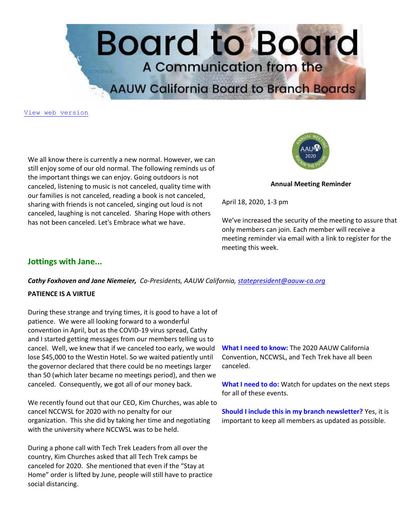

[View web version](https://bor.aauw-ca.org/sendy/w/892WZcugyyn7Dp4I7u2fztNQ/X4kB0ERVfDDPr7iAvcwqJA/FFc6hTWGS03WjpbalZOALg)

We all know there is currently a new normal. However, we can still enjoy some of our old normal. The following reminds us of the important things we can enjoy. Going outdoors is not canceled, listening to music is not canceled, quality time with our families is not canceled, reading a book is not canceled, sharing with friends is not canceled, singing out loud is not canceled, laughing is not canceled. Sharing Hope with others has not been canceled. Let's Embrace what we have.



**Annual Meeting Reminder**

April 18, 2020, 1-3 pm

We've increased the security of the meeting to assure that only members can join. Each member will receive a meeting reminder via email with a link to register for the meeting this week.

## **Jottings with Jane...**

*Cathy Foxhoven and Jane Niemeier, Co-Presidents, AAUW California, [statepresident@aauw-ca.org](mailto:statepresident@aauw-ca.org)*

#### **PATIENCE IS A VIRTUE**

During these strange and trying times, it is good to have a lot of patience. We were all looking forward to a wonderful convention in April, but as the COVID-19 virus spread, Cathy and I started getting messages from our members telling us to cancel. Well, we knew that if we canceled too early, we would lose \$45,000 to the Westin Hotel. So we waited patiently until the governor declared that there could be no meetings larger than 50 (which later became no meetings period), and then we canceled. Consequently, we got all of our money back.

We recently found out that our CEO, Kim Churches, was able to cancel NCCWSL for 2020 with no penalty for our organization. This she did by taking her time and negotiating with the university where NCCWSL was to be held.

During a phone call with Tech Trek Leaders from all over the country, Kim Churches asked that all Tech Trek camps be canceled for 2020. She mentioned that even if the "Stay at Home" order is lifted by June, people will still have to practice social distancing.

**What I need to know:** The 2020 AAUW California Convention, NCCWSL, and Tech Trek have all been canceled.

**What I need to do:** Watch for updates on the next steps for all of these events.

**Should I include this in my branch newsletter?** Yes, it is important to keep all members as updated as possible.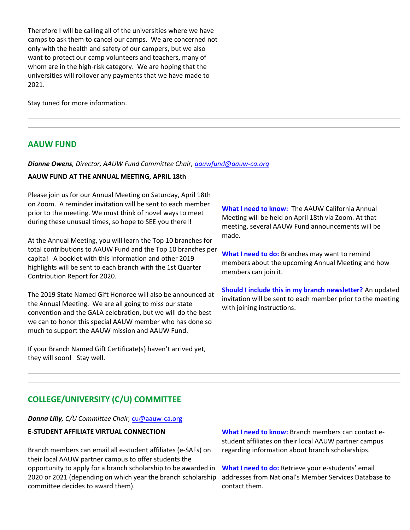Therefore I will be calling all of the universities where we have camps to ask them to cancel our camps. We are concerned not only with the health and safety of our campers, but we also want to protect our camp volunteers and teachers, many of whom are in the high-risk category. We are hoping that the universities will rollover any payments that we have made to 2021.

Stay tuned for more information.

## **AAUW FUND**

#### *Dianne Owens, Director, AAUW Fund Committee Chair, [aauwfund@aauw-ca.org](mailto:aauwfund@aauw-ca.org)*

#### **AAUW FUND AT THE ANNUAL MEETING, APRIL 18th**

Please join us for our Annual Meeting on Saturday, April 18th on Zoom. A reminder invitation will be sent to each member prior to the meeting. We must think of novel ways to meet during these unusual times, so hope to SEE you there!!

At the Annual Meeting, you will learn the Top 10 branches for total contributions to AAUW Fund and the Top 10 branches per capita! A booklet with this information and other 2019 highlights will be sent to each branch with the 1st Quarter Contribution Report for 2020.

The 2019 State Named Gift Honoree will also be announced at the Annual Meeting. We are all going to miss our state convention and the GALA celebration, but we will do the best we can to honor this special AAUW member who has done so much to support the AAUW mission and AAUW Fund.

If your Branch Named Gift Certificate(s) haven't arrived yet, they will soon! Stay well.

**What I need to know:** The AAUW California Annual Meeting will be held on April 18th via Zoom. At that meeting, several AAUW Fund announcements will be made.

**What I need to do:** Branches may want to remind members about the upcoming Annual Meeting and how members can join it.

**Should I include this in my branch newsletter?** An updated invitation will be sent to each member prior to the meeting with joining instructions.

# **COLLEGE/UNIVERSITY (C/U) COMMITTEE**

*Donna Lilly, C/U Committee Chair,* [cu@aauw-ca.org](mailto:cu@aauw-ca.org)

#### **E-STUDENT AFFILIATE VIRTUAL CONNECTION**

Branch members can email all e-student affiliates (e-SAFs) on their local AAUW partner campus to offer students the opportunity to apply for a branch scholarship to be awarded in 2020 or 2021 (depending on which year the branch scholarship committee decides to award them).

**What I need to know:** Branch members can contact estudent affiliates on their local AAUW partner campus regarding information about branch scholarships.

**What I need to do:** Retrieve your e-students' email addresses from National's Member Services Database to contact them.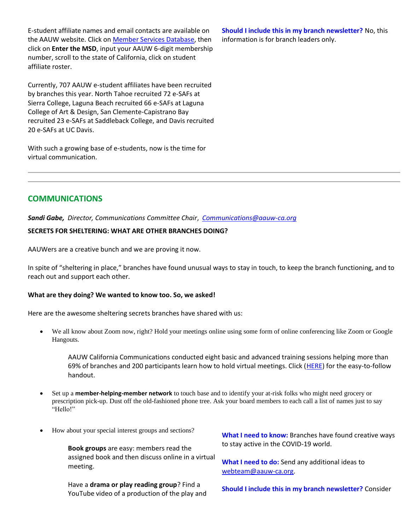E-student affiliate names and email contacts are available on the AAUW website. Click on [Member Services Database,](https://bor.aauw-ca.org/sendy/l/892WZcugyyn7Dp4I7u2fztNQ/YzzMWoCjmVuK1Lx14fBM7g/FFc6hTWGS03WjpbalZOALg) then click on **Enter the MSD**, input your AAUW 6-digit membership number, scroll to the state of California, click on student affiliate roster.

Currently, 707 AAUW e-student affiliates have been recruited by branches this year. North Tahoe recruited 72 e-SAFs at Sierra College, Laguna Beach recruited 66 e-SAFs at Laguna College of Art & Design, San Clemente-Capistrano Bay recruited 23 e-SAFs at Saddleback College, and Davis recruited 20 e-SAFs at UC Davis.

With such a growing base of e-students, now is the time for virtual communication.

**Should I include this in my branch newsletter?** No, this information is for branch leaders only.

# **COMMUNICATIONS**

*Sandi Gabe, Director, Communications Committee Chair*, *[Communications@aauw-ca.org](mailto:Communications@aauw-ca.org)*

#### **SECRETS FOR SHELTERING: WHAT ARE OTHER BRANCHES DOING?**

AAUWers are a creative bunch and we are proving it now.

In spite of "sheltering in place," branches have found unusual ways to stay in touch, to keep the branch functioning, and to reach out and support each other.

#### **What are they doing? We wanted to know too. So, we asked!**

Here are the awesome sheltering secrets branches have shared with us:

• We all know about Zoom now, right? Hold your meetings online using some form of online conferencing like Zoom or Google Hangouts.

AAUW California Communications conducted eight basic and advanced training sessions helping more than 69% of branches and 200 participants learn how to hold virtual meetings. Click [\(HERE\)](https://bor.aauw-ca.org/sendy/l/892WZcugyyn7Dp4I7u2fztNQ/BWQtLw3BL3vGgxoQMWUJ9w/FFc6hTWGS03WjpbalZOALg) for the easy-to-follow handout.

- Set up a **member-helping-member network** to touch base and to identify your at-risk folks who might need grocery or prescription pick-up. Dust off the old-fashioned phone tree. Ask your board members to each call a list of names just to say "Hello!"
- How about your special interest groups and sections?

**Book groups** are easy: members read the assigned book and then discuss online in a virtual meeting.

Have a **drama or play reading group**? Find a YouTube video of a production of the play and **What I need to know:** Branches have found creative ways to stay active in the COVID-19 world.

**What I need to do:** Send any additional ideas to [webteam@aauw-ca.org.](mailto:webteam@aauw-ca.org)

**Should I include this in my branch newsletter?** Consider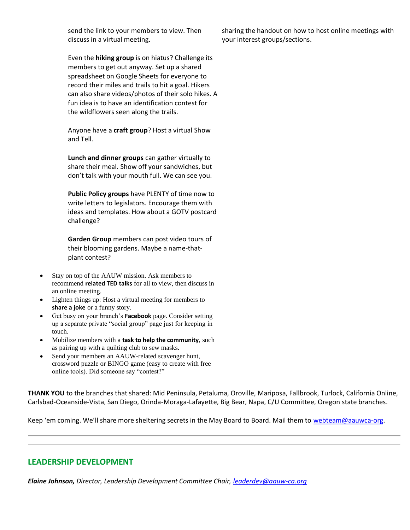send the link to your members to view. Then discuss in a virtual meeting.

Even the **hiking group** is on hiatus? Challenge its members to get out anyway. Set up a shared spreadsheet on Google Sheets for everyone to record their miles and trails to hit a goal. Hikers can also share videos/photos of their solo hikes. A fun idea is to have an identification contest for the wildflowers seen along the trails.

Anyone have a **craft group**? Host a virtual Show and Tell.

**Lunch and dinner groups** can gather virtually to share their meal. Show off your sandwiches, but don't talk with your mouth full. We can see you.

**Public Policy groups** have PLENTY of time now to write letters to legislators. Encourage them with ideas and templates. How about a GOTV postcard challenge?

**Garden Group** members can post video tours of their blooming gardens. Maybe a name-thatplant contest?

- Stay on top of the AAUW mission. Ask members to recommend **related TED talks** for all to view, then discuss in an online meeting.
- Lighten things up: Host a virtual meeting for members to **share a joke** or a funny story.
- Get busy on your branch's **Facebook** page. Consider setting up a separate private "social group" page just for keeping in touch.
- Mobilize members with a **task to help the community**, such as pairing up with a quilting club to sew masks.
- Send your members an AAUW-related scavenger hunt, crossword puzzle or BINGO game (easy to create with free online tools). Did someone say "contest?"

**THANK YOU** to the branches that shared: Mid Peninsula, Petaluma, Oroville, Mariposa, Fallbrook, Turlock, California Online, Carlsbad-Oceanside-Vista, San Diego, Orinda-Moraga-Lafayette, Big Bear, Napa, C/U Committee, Oregon state branches.

Keep 'em coming. We'll share more sheltering secrets in the May Board to Board. Mail them to [webteam@aauwca-org.](https://bor.aauw-ca.org/sendy/l/892WZcugyyn7Dp4I7u2fztNQ/JM57OEZrTcaoyfebVCTp3w/FFc6hTWGS03WjpbalZOALg)

# **LEADERSHIP DEVELOPMENT**

*Elaine Johnson, Director, Leadership Development Committee Chair, [leaderdev@aauw-ca.org](mailto:leaderdev@aauw-ca.org)*

sharing the handout on how to host online meetings with your interest groups/sections.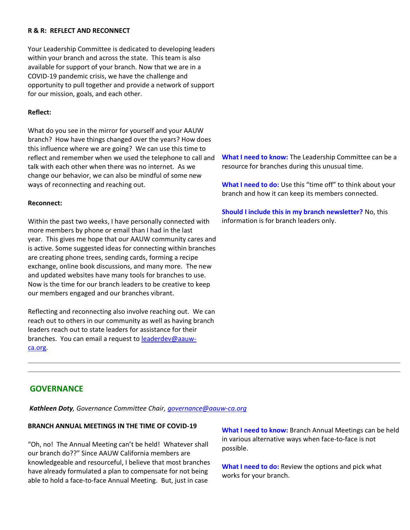#### **R & R: REFLECT AND RECONNECT**

Your Leadership Committee is dedicated to developing leaders within your branch and across the state. This team is also available for support of your branch. Now that we are in a COVID-19 pandemic crisis, we have the challenge and opportunity to pull together and provide a network of support for our mission, goals, and each other.

#### **Reflect:**

What do you see in the mirror for yourself and your AAUW branch? How have things changed over the years? How does this influence where we are going? We can use this time to reflect and remember when we used the telephone to call and talk with each other when there was no internet. As we change our behavior, we can also be mindful of some new ways of reconnecting and reaching out.

#### **Reconnect:**

Within the past two weeks, I have personally connected with more members by phone or email than I had in the last year. This gives me hope that our AAUW community cares and is active. Some suggested ideas for connecting within branches are creating phone trees, sending cards, forming a recipe exchange, online book discussions, and many more. The new and updated websites have many tools for branches to use. Now is the time for our branch leaders to be creative to keep our members engaged and our branches vibrant.

Reflecting and reconnecting also involve reaching out. We can reach out to others in our community as well as having branch leaders reach out to state leaders for assistance for their branches. You can email a request to [leaderdev@aauw](mailto:leaderdev@aauw-ca.org)[ca.org.](mailto:leaderdev@aauw-ca.org)

**What I need to know:** The Leadership Committee can be a resource for branches during this unusual time.

**What I need to do:** Use this "time off" to think about your branch and how it can keep its members connected.

**Should I include this in my branch newsletter?** No, this information is for branch leaders only.

# **GOVERNANCE**

*Kathleen Doty, Governance Committee Chair, [governance@aauw-ca.org](mailto:governance@aauw-ca.org)*

## **BRANCH ANNUAL MEETINGS IN THE TIME OF COVID-19**

"Oh, no! The Annual Meeting can't be held! Whatever shall our branch do??" Since AAUW California members are knowledgeable and resourceful, I believe that most branches have already formulated a plan to compensate for not being able to hold a face-to-face Annual Meeting. But, just in case

**What I need to know:** Branch Annual Meetings can be held in various alternative ways when face-to-face is not possible.

**What I need to do:** Review the options and pick what works for your branch.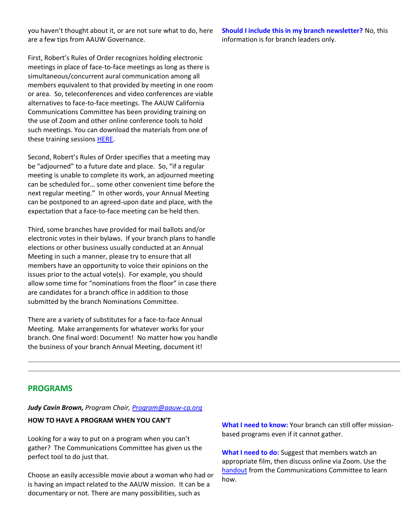you haven't thought about it, or are not sure what to do, here are a few tips from AAUW Governance.

First, Robert's Rules of Order recognizes holding electronic meetings in place of face-to-face meetings as long as there is simultaneous/concurrent aural communication among all members equivalent to that provided by meeting in one room or area. So, teleconferences and video conferences are viable alternatives to face-to-face meetings. The AAUW California Communications Committee has been providing training on the use of Zoom and other online conference tools to hold such meetings. You can download the materials from one of these training sessions [HERE.](https://bor.aauw-ca.org/sendy/l/892WZcugyyn7Dp4I7u2fztNQ/2gUXlg6b892UhR763AmluPmRHw/FFc6hTWGS03WjpbalZOALg)

Second, Robert's Rules of Order specifies that a meeting may be "adjourned" to a future date and place. So, "if a regular meeting is unable to complete its work, an adjourned meeting can be scheduled for… some other convenient time before the next regular meeting." In other words, your Annual Meeting can be postponed to an agreed-upon date and place, with the expectation that a face-to-face meeting can be held then.

Third, some branches have provided for mail ballots and/or electronic votes in their bylaws. If your branch plans to handle elections or other business usually conducted at an Annual Meeting in such a manner, please try to ensure that all members have an opportunity to voice their opinions on the issues prior to the actual vote(s). For example, you should allow some time for "nominations from the floor" in case there are candidates for a branch office in addition to those submitted by the branch Nominations Committee.

There are a variety of substitutes for a face-to-face Annual Meeting. Make arrangements for whatever works for your branch. One final word: Document! No matter how you handle the business of your branch Annual Meeting, document it!

**Should I include this in my branch newsletter?** No, this information is for branch leaders only.

# **PROGRAMS**

#### *Judy Cavin Brown, Program Chair, [Program@aauw-ca.org](mailto:nominating@aauw-ca.org)*

#### **HOW TO HAVE A PROGRAM WHEN YOU CAN'T**

Looking for a way to put on a program when you can't gather? The Communications Committee has given us the perfect tool to do just that.

Choose an easily accessible movie about a woman who had or is having an impact related to the AAUW mission. It can be a documentary or not. There are many possibilities, such as

**What I need to know:** Your branch can still offer missionbased programs even if it cannot gather.

**What I need to do:** Suggest that members watch an appropriate film, then discuss online via Zoom. Use the [handout](https://bor.aauw-ca.org/sendy/l/892WZcugyyn7Dp4I7u2fztNQ/2gUXlg6b892UhR763AmluPmRHw/FFc6hTWGS03WjpbalZOALg) from the Communications Committee to learn how.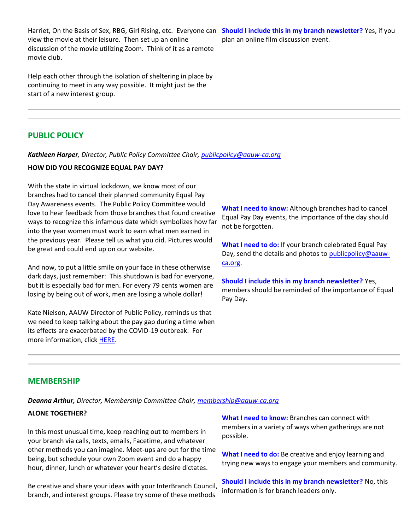Harriet, On the Basis of Sex, RBG, Girl Rising, etc. Everyone can **Should I include this in my branch newsletter?** Yes, if you view the movie at their leisure. Then set up an online discussion of the movie utilizing Zoom. Think of it as a remote movie club.

Help each other through the isolation of sheltering in place by continuing to meet in any way possible. It might just be the start of a new interest group.

# plan an online film discussion event.

# **PUBLIC POLICY**

*Kathleen Harper, Director, Public Policy Committee Chair, [publicpolicy@aauw-ca.org](mailto:PublicPolicy@aauw-ca.org)*

#### **HOW DID YOU RECOGNIZE EQUAL PAY DAY?**

With the state in virtual lockdown, we know most of our branches had to cancel their planned community Equal Pay Day Awareness events. The Public Policy Committee would love to hear feedback from those branches that found creative ways to recognize this infamous date which symbolizes how far into the year women must work to earn what men earned in the previous year. Please tell us what you did. Pictures would be great and could end up on our website.

And now, to put a little smile on your face in these otherwise dark days, just remember: This shutdown is bad for everyone, but it is especially bad for men. For every 79 cents women are losing by being out of work, men are losing a whole dollar!

Kate Nielson, AAUW Director of Public Policy, reminds us that we need to keep talking about the pay gap during a time when its effects are exacerbated by the COVID-19 outbreak. For more information, click [HERE.](https://bor.aauw-ca.org/sendy/l/892WZcugyyn7Dp4I7u2fztNQ/7Hd69S8925ITFjD892JV1P2Odg/FFc6hTWGS03WjpbalZOALg)

**What I need to know:** Although branches had to cancel Equal Pay Day events, the importance of the day should not be forgotten.

**What I need to do:** If your branch celebrated Equal Pay Day, send the details and photos to [publicpolicy@aauw](mailto:PublicPolicy@aauw-ca.org)[ca.org.](mailto:PublicPolicy@aauw-ca.org)

**Should I include this in my branch newsletter?** Yes, members should be reminded of the importance of Equal Pay Day.

#### **MEMBERSHIP**

*Deanna Arthur, Director, Membership Committee Chair, [membership@aauw-ca.org](mailto:membership@aauw-ca.org)*

#### **ALONE TOGETHER?**

In this most unusual time, keep reaching out to members in your branch via calls, texts, emails, Facetime, and whatever other methods you can imagine. Meet-ups are out for the time being, but schedule your own Zoom event and do a happy hour, dinner, lunch or whatever your heart's desire dictates.

Be creative and share your ideas with your InterBranch Council, branch, and interest groups. Please try some of these methods

**What I need to know:** Branches can connect with members in a variety of ways when gatherings are not possible.

**What I need to do:** Be creative and enjoy learning and trying new ways to engage your members and community.

**Should I include this in my branch newsletter?** No, this information is for branch leaders only.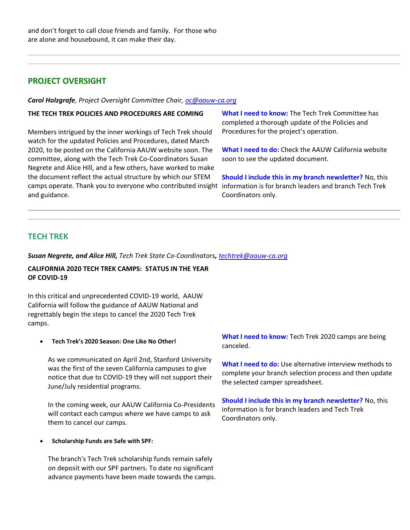# **PROJECT OVERSIGHT**

*Carol Holzgrafe, Project Oversight Committee Chair[, oc@aauw-ca.org](mailto:oc@aauw-ca.org)*

#### **THE TECH TREK POLICIES AND PROCEDURES ARE COMING**

Members intrigued by the inner workings of Tech Trek should watch for the updated Policies and Procedures, dated March 2020, to be posted on the California AAUW website soon. The committee, along with the Tech Trek Co-Coordinators Susan Negrete and Alice Hill, and a few others, have worked to make the document reflect the actual structure by which our STEM camps operate. Thank you to everyone who contributed insight information is for branch leaders and branch Tech Trek and guidance.

**What I need to know:** The Tech Trek Committee has completed a thorough update of the Policies and Procedures for the project's operation.

**What I need to do:** Check the AAUW California website soon to see the updated document.

**Should I include this in my branch newsletter?** No, this Coordinators only.

## **TECH TREK**

*Susan Negrete, and Alice Hill, Tech Trek State Co-Coordinators, [techtrek@aauw-ca.org](mailto:techtrek@aauw-ca.org)*

### **CALIFORNIA 2020 TECH TREK CAMPS: STATUS IN THE YEAR OF COVID-19**

In this critical and unprecedented COVID-19 world, AAUW California will follow the guidance of AAUW National and regrettably begin the steps to cancel the 2020 Tech Trek camps.

• **Tech Trek's 2020 Season: One Like No Other!**

As we communicated on April 2nd, Stanford University was the first of the seven California campuses to give notice that due to COVID-19 they will not support their June/July residential programs.

In the coming week, our AAUW California Co-Presidents will contact each campus where we have camps to ask them to cancel our camps.

• **Scholarship Funds are Safe with SPF:**

The branch's Tech Trek scholarship funds remain safely on deposit with our SPF partners. To date no significant advance payments have been made towards the camps. **What I need to know:** Tech Trek 2020 camps are being canceled.

**What I need to do:** Use alternative interview methods to complete your branch selection process and then update the selected camper spreadsheet.

**Should I include this in my branch newsletter?** No, this information is for branch leaders and Tech Trek Coordinators only.